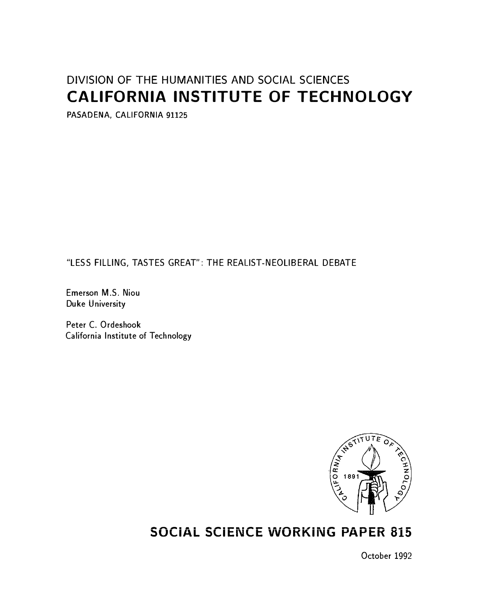# DIVISION OF THE HUMANITIES AND SOCIAL SCIENCES CALIFORNIA INSTITUTE OF TECHNOLOGY

PASADENA, CALIFORNIA 91125

# "LESS FILLING, TASTES GREAT": THE REALIST-NEOLIBERAL DEBATE

Emerson M.S. Niou Duke University

Peter C. Ordeshook California Institute of Technology



# SOCIAL SCIENCE WORKING PAPER 815

October 1992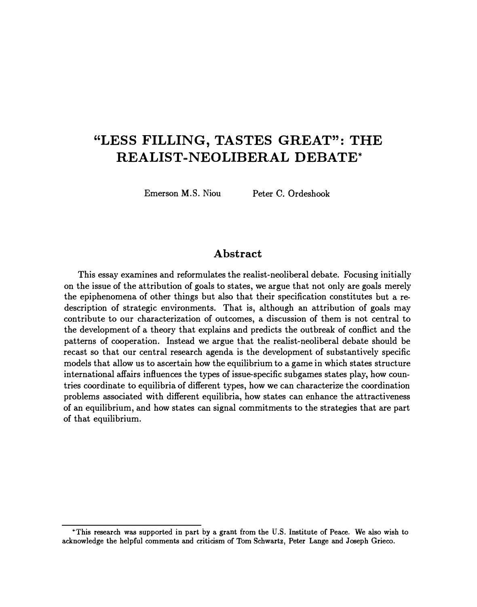# "LESS FILLING, TASTES GREAT": THE REALIST-NEOLIBERAL DEBATE\*

Emerson M.S. Niou Peter C. Ordeshook

## Abstract

This essay examines and reformulates the realist-neoliberal debate. Focusing initially on the issue of the attribution of goals to states, we argue that not only are goals merely the epiphenomena of other things but also that their specification constitutes but a redescription of strategic environments. That is, although an attribution of goals may contribute to our characterization of outcomes, a discussion of them is not central to the development of a theory that explains and predicts the outbreak of conflict and the patterns of cooperation. Instead we argue that the realist-neoliberal debate should be recast so that our central research agenda is the development of substantively specific models that allow us to ascertain how the equilibrium to a game in which states structure international affairs influences the types of issue-specific subgames states play, how countries coordinate to equilibria of different types, how we can characterize the coordination problems associated with different equilibria, how states can enhance the attractiveness of an equilibrium, and how states can signal commitments to the strategies that are part of that equilibrium.

<sup>•</sup>This research was supported in part by a grant from the U.S. Institute of Peace. We aiso wish to acknowledge the helpful comments and criticism of Tom Schwartz, Peter Lange and Joseph Grieco.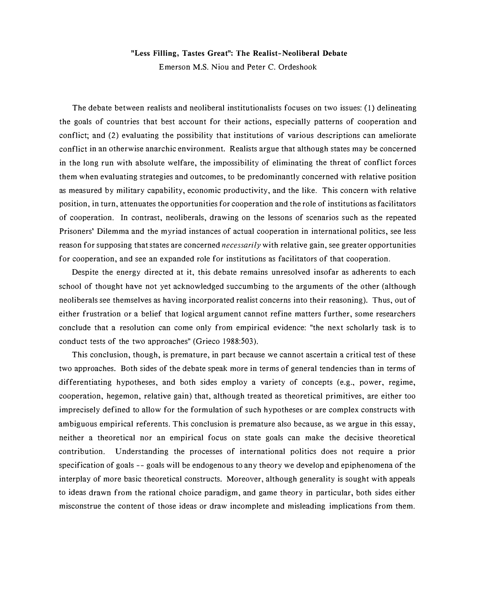#### "Less Filling, Tastes Great": The Realist-Neoliberal Debate

Emerson M.S. Niou and Peter C. Ordeshook

The debate between realists and neoliberal institutionalists focuses on two issues: (I) delineating the goals of countries that best account for their actions, especially patterns of cooperation and conflict; and (2) evaluating the possibility that institutions of various descriptions can ameliorate conflict in an otherwise anarchic environment. Realists argue that although states may be concerned in the long run with absolute welfare, the impossibility of eliminating the threat of conflict forces them when evaluating strategies and outcomes, to be predominantly concerned with relative position as measured by military capability, economic productivity, and the like. This concern with relative position, in turn, attenuates the opportunities for cooperation and the role of institutions as facilitators of cooperation. In contrast, neoliberals, drawing on the lessons of scenarios such as the repeated Prisoners' Dilemma and the myriad instances of actual cooperation in international politics, see less reason for supposing that states are concerned *necessarily* with relative gain, see greater opportunities for cooperation, and see an expanded role for institutions as facilitators of that cooperation.

Despite the energy directed at it, this debate remains unresolved insofar as adherents to each school of thought have not yet acknowledged succumbing to the arguments of the other (although neolibera!s see themselves as having incorporated realist concerns into their reasoning). Thus, out of either frustration or a belief that logical argument cannot refine matters further, some researchers conclude that a resolution can come only from empirical evidence: "the next scholarly task is to conduct tests of the two approaches" (Grieco 1988:503).

This conclusion, though, is premature, in part because we cannot ascertain a critical test of these two approaches. Both sides of the debate speak more in terms of general tendencies than in terms of differentiating hypotheses, and both sides employ a variety of concepts (e.g., power, regime, cooperation, hegemon, relative gain) that, although treated as theoretical primitives, are either too imprecisely defined to allow for the formulation of such hypotheses or are complex constructs with ambiguous empirical referents. This conclusion is premature also because, as we argue in this essay, neither a theoretical nor an empirical focus on state goals can make the decisive theoretical contribution. Understanding the processes of international politics does not require a prior specification of goals -- goals will be endogenous to any theory we develop and epiphenomena of the interplay of more basic theoretical constructs. Moreover, although generality is sought with appeals to ideas drawn from the rational choice paradigm, and game theory in particular, both sides either misconstrue the content of those ideas or draw incomplete and misleading implications from them.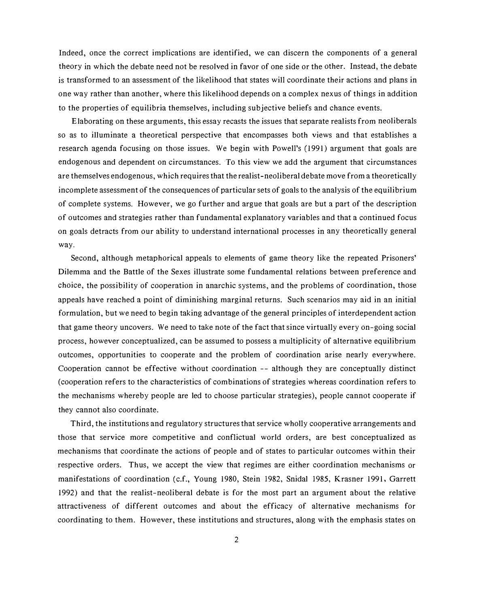Indeed, once the correct implications are identified, we can discern the components of a general theory in which the debate need not be resolved in favor of one side or the other. Instead, the debate is transformed to an assessment of the likelihood that states will coordinate their actions and plans in one way rather than another, where this likelihood depends on a complex nexus of things in addition to the properties of equilibria themselves, including subjective beliefs and chance events.

Elaborating on these arguments, this essay recasts the issues that separate realists from neoliberals so as to illuminate a theoretical perspective that encompasses both views and that establishes a research agenda focusing on those issues. We begin with Powell's (1991) argument that goals are endogenous and dependent on circumstances. To this view we add the argument that circumstances are themselves endogenous, which requires that the realist-neoliberal debate move from a theoretically incomplete assessment of the consequences of particular sets of goals to the analysis of the equilibrium of complete systems. However, we go further and argue that goals are but a part of the description of outcomes and strategies rather than fundamental explanatory variables and that a continued focus on goals detracts from our ability to understand international processes in any theoretically general way.

Second, although metaphorical appeals to elements of game theory like the repeated Prisoners' Dilemma and the Battle of the Sexes illustrate some fundamental relations between preference and choice, the possibility of cooperation in anarchic systems, and the problems of coordination, those appeals have reached a point of diminishing marginal returns. Such scenarios may aid in an initial formulation, but we need to begin taking advantage of the general principles of interdependent action that game theory uncovers. We need to take note of the fact that since virtually every on-going social process, however conceptualized, can be assumed to possess a multiplicity of alternative equilibrium outcomes, opportunities to cooperate and the problem of coordination arise nearly everywhere. Cooperation cannot be effective without coordination -- although they are conceptually distinct (cooperation refers to the characteristics of combinations of strategies whereas coordination refers to the mechanisms whereby people are led to choose particular strategies), people cannot cooperate if they cannot also coordinate.

Third, the institutions and regulatory structures that service wholly cooperative arrangements and those that service more competitive and conflictual world orders, are best conceptualized as mechanisms that coordinate the actions of people and of states to particular outcomes within their respective orders. Thus, we accept the view that regimes are either coordination mechanisms or manifestations of coordination (c.f., Young 1980, Stein 1982, Snidal 1985, Krasner 1991, Garrett 1992) and that the realist-neoliberal debate is for the most part an argument about the relative attractiveness of different outcomes and about the efficacy of alternative mechanisms for coordinating to them. However, these institutions and structures, along with the emphasis states on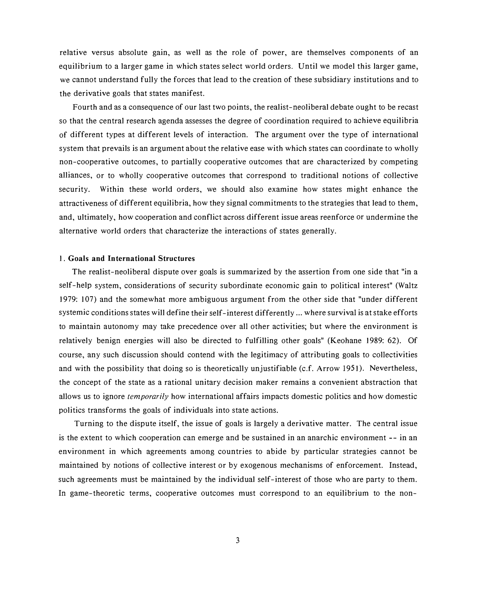relative versus absolute gain, as well as the role of power, are themselves components of an equilibrium to a larger game in which states select world orders. Until we model this larger game, we cannot understand fully the forces that lead to the creation of these subsidiary institutions and to the derivative goals that states manifest.

Fourth and as a consequence of our last two points, the realist-neoliberal debate ought to be recast so that the central research agenda assesses the degree of coordination required to achieve equilibria of different types at different levels of interaction. The argument over the type of international system that prevails is an argument about the relative ease with which states can coordinate to wholly non-cooperative outcomes, to partially cooperative outcomes that are characterized by competing alliances, or to wholly cooperative outcomes that correspond to traditional notions of collective security. Within these world orders, we should also examine how states might enhance the attractiveness of different equilibria, how they signal commitments to the strategies that lead to them, and, ultimately, how cooperation and conflict across different issue areas reenforce or undermine the alternative world orders that characterize the interactions of states generally.

### 1. Goals and International Structures

The realist-neoliberal dispute over goals is summarized by the assertion from one side that "in a self-help system, considerations of security subordinate economic gain to political interest" (Waltz 1979: 107) and the somewhat more ambiguous argument from the other side that "under different systemic conditions states will define their self-interest differently ... where survival is at stake efforts to maintain autonomy may take precedence over all other activities; but where the environment is relatively benign energies will also be directed to fulfilling other goals" (Keohane 1989: 62). Of course, any such discussion should contend with the legitimacy of attributing goals to collectivities and with the possibility that doing so is theoretically unjustifiable (c.f. Arrow 1951). Nevertheless, the concept of the state as a rational unitary decision maker remains a convenient abstraction that allows us to ignore temporarily how international affairs impacts domestic politics and how domestic politics transforms the goals of individuals into state actions.

Turning to the dispute itself, the issue of goals is largely a derivative matter. The central issue is the extent to which cooperation can emerge and be sustained in an anarchic environment -- in an environment in which agreements among countries to abide by particular strategies cannot be maintained by notions of collective interest or by exogenous mechanisms of enforcement. Instead, such agreements must be maintained by the individual self-interest of those who are party to them. In game-theoretic terms, cooperative outcomes must correspond to an equilibrium to the non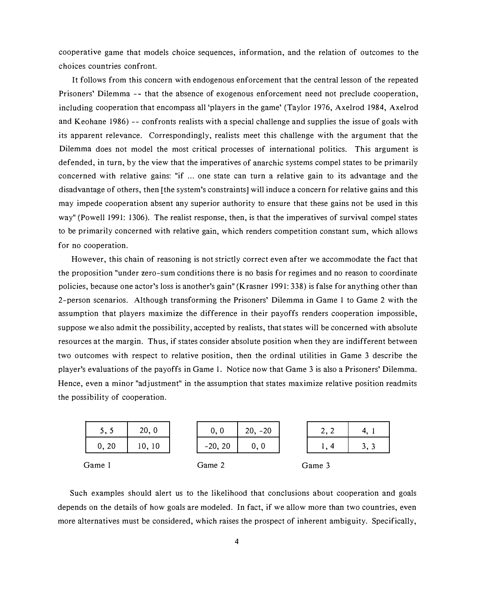cooperative game that models choice sequences, information, and the relation of outcomes to the choices countries confront.

It follows from this concern with endogenous enforcement that the central lesson of the repeated Prisoners' Dilemma -- that the absence of exogenous enforcement need not preclude cooperation, including cooperation that encompass all 'players in the game' (Taylor 1976, Axelrod 1984, Axelrod and Keohane 1986) -- confronts realists with a special challenge and supplies the issue of goals with its apparent relevance. Correspondingly, realists meet this challenge with the argument that the Dilemma does not model the most critical processes of international politics. This argument is defended, in turn, by the view that the imperatives of anarchic systems compel states to be primarily concerned with relative gains: "if ... one state can turn a relative gain to its advantage and the disadvantage of others, then [the system's constraints] will induce a concern for relative gains and this may impede cooperation absent any superior authority to ensure that these gains not be used in this way" (Powell 1991: 1306). The realist response, then, is that the imperatives of survival compel states to be primarily concerned with relative gain, which renders competition constant sum, which allows for no cooperation.

However, this chain of reasoning is not strictly correct even after we accommodate the fact that the proposition "under zero-sum conditions there is no basis for regimes and no reason to coordinate policies, because one actor's loss is another's gain" (Krasner 1991: 338) is false for anything other than 2-person scenarios. Although transforming the Prisoners' Dilemma in Game 1 to Game 2 with the assumption that players maximize the difference in their payoffs renders cooperation impossible, suppose we also admit the possibility, accepted by realists, that states will be concerned with absolute resources at the margin. Thus, if states consider absolute position when they are indifferent between two outcomes with respect to relative position, then the ordinal utilities in Game 3 describe the player's evaluations of the payoffs in Game 1. Notice now that Game 3 is also a Prisoners' Dilemma. Hence, even a minor "adjustment" in the assumption that states maximize relative position readmits the possibility of cooperation.

| 5, 5   | 20, 0  | 0,0       | $, -20$<br>20, | $\overline{\phantom{a}}$<br>∍<br>ے م |      |
|--------|--------|-----------|----------------|--------------------------------------|------|
| 0, 20  | 10, 10 | $-20, 20$ | 0,0            | 4                                    | ິ. J |
| Game 1 |        | Game 2    |                | Game 3                               |      |

Such examples should alert us to the likelihood that conclusions about cooperation and goals depends on the details of how goals are modeled. In fact, if we allow more than two countries, even more alternatives must be considered, which raises the prospect of inherent ambiguity. Specifically,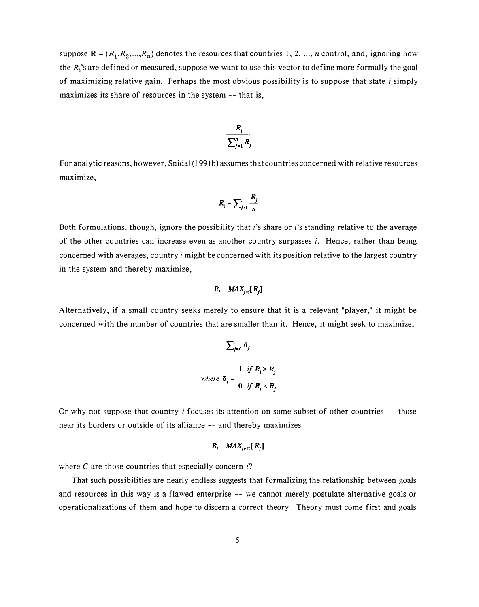suppose  $\mathbf{R} = (R_1, R_2, ..., R_n)$  denotes the resources that countries 1, 2, ..., *n* control, and, ignoring how the  $R_i$ 's are defined or measured, suppose we want to use this vector to define more formally the goal of maximizing relative gain. Perhaps the most obvious possibility is to suppose that state  $i$  simply maximizes its share of resources in the system -- that is,

$$
\frac{R_i}{\sum_{j=1}^n R_j}
$$

For analytic reasons, however, Snidal (l 991 b) assumes that countries concerned with relative resources maximize,

$$
R_i - \sum_{j \neq i} \frac{R_j}{n}
$$

Both formulations, though, ignore the possibility that  $i$ 's share or  $i$ 's standing relative to the average of the other countries can increase even as another country surpasses i. Hence, rather than being concerned with averages, country  $i$  might be concerned with its position relative to the largest country in the system and thereby maximize,

$$
R_i - MAX_{j\neq i}[R_j]
$$

Alternatively, if a small country seeks merely to ensure that it is a relevant "player," it might be concerned with the number of countries that are smaller than it. Hence, it might seek to maximize,

$$
\sum_{j \neq i} \delta_j
$$
  
where  $\delta_j = \frac{1}{0}$  if  $R_i > R_j$   

$$
0 \text{ if } R_i \le R_i
$$

Or why not suppose that country  $i$  focuses its attention on some subset of other countries  $-$ - those near its borders or outside of its alliance -- and thereby maximizes

$$
R_i - MAX_{jeC} [R_j]
$$

where C are those countries that especially concern  $i$ ?

That such possibilities are nearly endless suggests that formalizing the relationship between goals and resources in this way is a flawed enterprise -- we cannot merely postulate alternative goals or operationalizations of them and hope to discern a correct theory. Theory must come first and goals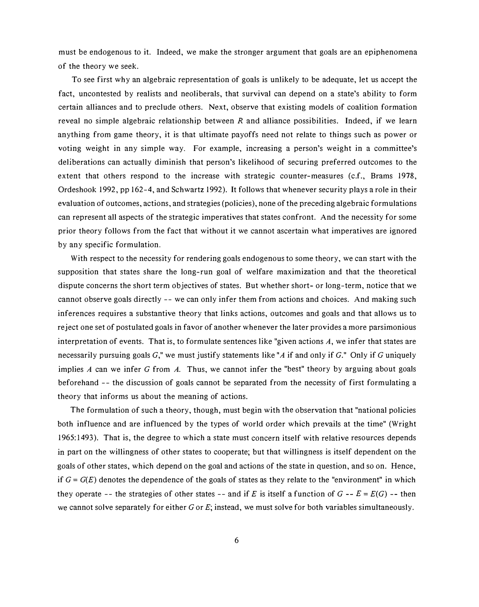must be endogenous to it. Indeed, we make the stronger argument that goals are an epiphenomena of the theory we seek.

To see first why an algebraic representation of goals is unlikely to be adequate, let us accept the fact, uncontested by realists and neoliberals, that survival can depend on a state's ability to form certain alliances and to preclude others. Next, observe that existing models of coalition formation reveal no simple algebraic relationship between R and alliance possibilities. Indeed, if we learn anything from game theory, it is that ultimate payoffs need not relate to things such as power or voting weight in any simple way. For example, increasing a person's weight in a committee's deliberations can actually diminish that person's likelihood of securing preferred outcomes to the extent that others respond to the increase with strategic counter-measures (c.f., Brams 1978, Ordeshook 1992, pp 162-4, and Schwartz 1992). It follows that whenever security plays a role in their evaluation of outcomes, actions, and strategies (policies), none of the preceding algebraic formulations can represent all aspects of the strategic imperatives that states confront. And the necessity for some prior theory follows from the fact that without it we cannot ascertain what imperatives are ignored by any specific formulation.

With respect to the necessity for rendering goals endogenous to some theory, we can start with the supposition that states share the long-run goal of welfare maximization and that the theoretical dispute concerns the short term objectives of states. But whether short- or long-term, notice that we cannot observe goals directly -- we can only infer them from actions and choices. And making such inferences requires a substantive theory that links actions, outcomes and goals and that allows us to reject one set of postulated goals in favor of another whenever the later provides a more parsimonious interpretation of events. That is, to formulate sentences like "given actions A, we infer that states are necessarily pursuing goals  $G$ ," we must justify statements like "A if and only if  $G$ ." Only if G uniquely implies  $\vec{A}$  can we infer G from  $\vec{A}$ . Thus, we cannot infer the "best" theory by arguing about goals beforehand -- the discussion of goals cannot be separated from the necessity of first formulating a theory that informs us about the meaning of actions.

The formulation of such a theory, though, must begin with the observation that "national policies both influence and are influenced by the types of world order which prevails at the time" (Wright 1965: 1493 ). That is, the degree to which a state must concern itself with relative resources depends in part on the willingness of other states to cooperate; but that willingness is itself dependent on the goals of other states, which depend on the goal and actions of the state in question, and so on. Hence, if  $G = G(E)$  denotes the dependence of the goals of states as they relate to the "environment" in which they operate -- the strategies of other states -- and if E is itself a function of  $G - E = E(G) - E$ we cannot solve separately for either  $G$  or  $E$ ; instead, we must solve for both variables simultaneously.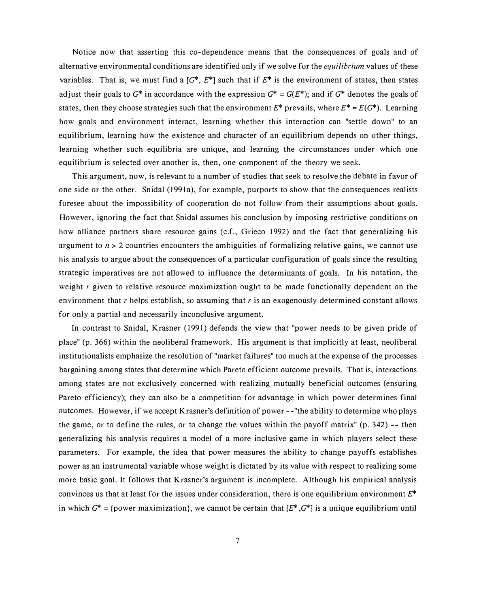Notice now that asserting this co-dependence means that the consequences of goals and of alternative environmental conditions are identified only if we solve for the *equilibrium* values of these variables. That is, we must find a  $[G^*, E^*]$  such that if  $E^*$  is the environment of states, then states ad just their goals to  $G^*$  in accordance with the expression  $G^* = G(E^*)$ ; and if  $G^*$  denotes the goals of states, then they choose strategies such that the environment  $E^*$  prevails, where  $E^* = E(G^*)$ . Learning how goals and environment interact, learning whether this interaction can "settle down" to an equilibrium, learning how the existence and character of an equilibrium depends on other things, learning whether such equilibria are unique, and learning the circumstances under which one equilibrium is selected over another is, then, one component of the theory we seek.

This argument, now, is relevant to a number of studies that seek to resolve the debate in favor of one side or the other. Snidal (l99la), for example, purports to show that the consequences realists foresee about the impossibility of cooperation do not follow from their assumptions about goals. However, ignoring the fact that Snidal assumes his conclusion by imposing restrictive conditions on how alliance partners share resource gains (c.f., Grieco 1992) and the fact that generalizing his argument to  $n > 2$  countries encounters the ambiguities of formalizing relative gains, we cannot use his analysis to argue about the consequences of a particular configuration of goals since the resulting strategic imperatives are not allowed to influence the determinants of goals. In his notation, the weight r given to relative resource maximization ought to be made functionally dependent on the environment that r helps establish, so assuming that r is an exogenously determined constant allows for only a partial and necessarily inconclusive argument.

In contrast to Snidal, Krasner (1991) defends the view that "power needs to be given pride of place" (p. 366) within the neoliberal framework. His argument is that implicitly at least, neoliberal institutionalists emphasize the resolution of "market failures" too much at the expense of the processes bargaining among states that determine which Pareto efficient outcome prevails. That is, interactions among states are not exclusively concerned with realizing mutually beneficial outcomes (ensuring Pareto efficiency); they can also be a competition for advantage in which power determines final outcomes. However, if we accept Krasner's definition of power --"the ability to determine who plays the game, or to define the rules, or to change the values within the payoff matrix" (p. 342) -- then generalizing his analysis requires a model of a more inclusive game in which players select these parameters. For example, the idea that power measures the ability to change payoffs establishes power as an instrumental variable whose weight is dictated by its value with respect to realizing some more basic goal. It follows that Krasner's argument is incomplete. Although his empirical analysis convinces us that at least for the issues under consideration, there is one equilibrium environment  $E^*$ in which  $G^*$  = {power maximization}, we cannot be certain that  $[E^*, G^*]$  is a unique equilibrium until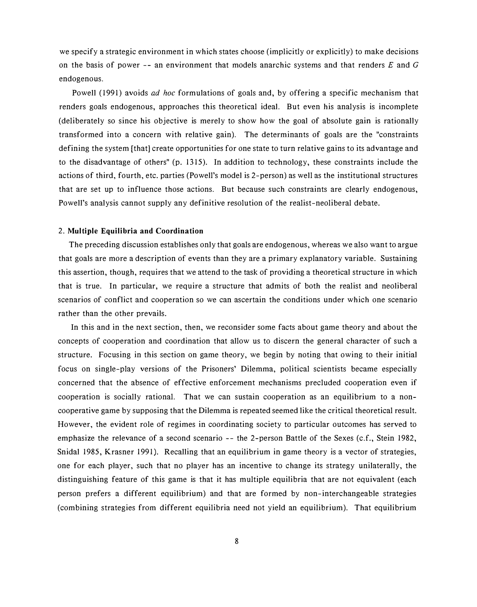we specify a strategic environment in which states choose (implicitly or explicitly) to make decisions on the basis of power -- an environment that models anarchic systems and that renders  $E$  and  $G$ endogenous.

Powell (1991) avoids *ad hoc* formulations of goals and, by offering a specific mechanism that renders goals endogenous, approaches this theoretical ideal. But even his analysis is incomplete (deliberately so since his objective is merely to show how the goal of absolute gain is rationally transformed into a concern with relative gain). The determinants of goals are the "constraints defining the system [that] create opportunities for one state to turn relative gains to its advantage and to the disadvantage of others" (p. 1315). In addition to technology, these constraints include the actions of third, fourth, etc. parties (Powell's model is 2-person) as well as the institutional structures that are set up to influence those actions. But because such constraints are clearly endogenous, Powell's analysis cannot supply any definitive resolution of the realist-neoliberal debate.

### 2. Multiple Equilibria and Coordination

The preceding discussion establishes only that goals are endogenous, whereas we also want to argue that goals are more a description of events than they are a primary explanatory variable. Sustaining this assertion, though, requires that we attend to the task of providing a theoretical structure in which that is true. In particular, we require a structure that admits of both the realist and neoliberal scenarios of conflict and cooperation so we can ascertain the conditions under which one scenario rather than the other prevails.

In this and in the next section, then, we reconsider some facts about game theory and about the concepts of cooperation and coordination that allow us to discern the general character of such a structure. Focusing in this section on game theory, we begin by noting that owing to their initial focus on single-play versions of the Prisoners' Dilemma, political scientists became especially concerned that the absence of effective enforcement mechanisms precluded cooperation even if cooperation is socially rational. That we can sustain cooperation as an equilibrium to a noncooperative game by supposing that the Dilemma is repeated seemed like the critical theoretical result. However, the evident role of regimes in coordinating society to particular outcomes has served to emphasize the relevance of a second scenario -- the 2-person Battle of the Sexes (c.f., Stein 1982, Snidal 1985, Krasner 1991). Recalling that an equilibrium in game theory is a vector of strategies, one for each player, such that no player has an incentive to change its strategy unilaterally, the distinguishing feature of this game is that it has multiple equilibria that are not equivalent (each person prefers a different equilibrium) and that are formed by non-interchangeable strategies (combining strategies from different equilibria need not yield an equilibrium). That equilibrium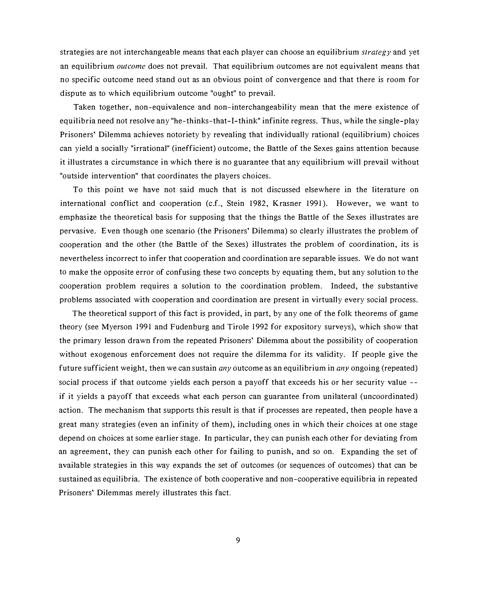strategies are not interchangeable means that each player can choose an equilibrium  $strategy$  and yet an equilibrium *outcome* does not prevail. That equilibrium outcomes are not equivalent means that no specific outcome need stand out as an obvious point of convergence and that there is room for dispute as to which equilibrium outcome "ought" to prevail.

Taken together, non-equivalence and non-interchangeability mean that the mere existence of equilibria need not resolve any "he-thinks-that-I-think" infinite regress. Thus, while the single-play Prisoners' Dilemma achieves notoriety by revealing that individually rational (equilibrium) choices can yield a socially "irrational" (inefficient) outcome, the Battle of the Sexes gains attention because it illustrates a circumstance in which there is no guarantee that any equilibrium will prevail without "outside intervention" that coordinates the players choices.

To this point we have not said much that is not discussed elsewhere in the literature on international conflict and cooperation (c.f., Stein 1982, Krasner 1991). However, we want to emphasize the theoretical basis for supposing that the things the Battle of the Sexes illustrates are pervasive. Even though one scenario (the Prisoners' Dilemma) so clearly illustrates the problem of cooperation and the other (the Battle of the Sexes) illustrates the problem of coordination, its is nevertheless incorrect to infer that cooperation and coordination are separable issues. We do not want to make the opposite error of confusing these two concepts by equating them, but any solution to the cooperation problem requires a solution to the coordination problem. Indeed, the substantive problems associated with cooperation and coordination are present in virtually every social process.

The theoretical support of this fact is provided, in part, by any one of the folk theorems of game theory (see Myerson 1991 and Fudenburg and Tirole 1992 for expository surveys), which show that the primary lesson drawn from the repeated Prisoners' Dilemma about the possibility of cooperation without exogenous enforcement does not require the dilemma for its validity. If people give the future sufficient weight, then we can sustain *any* outcome as an equilibrium in *any* ongoing (repeated) social process if that outcome yields each person a payoff that exceeds his or her security value if it yields a payoff that exceeds what each person can guarantee from unilateral (uncoordinated) action. The mechanism that supports this result is that if processes are repeated, then people have a great many strategies (even an infinity of them), including ones in which their choices at one stage depend on choices at some earlier stage. In particular, they can punish each other for deviating from an agreement, they can punish each other for failing to punish, and so on. Expanding the set of available strategies in this way expands the set of outcomes (or sequences of outcomes) that can be sustained as equilibria. The existence of both cooperative and non-cooperative equilibria in repeated Prisoners' Dilemmas merely illustrates this fact.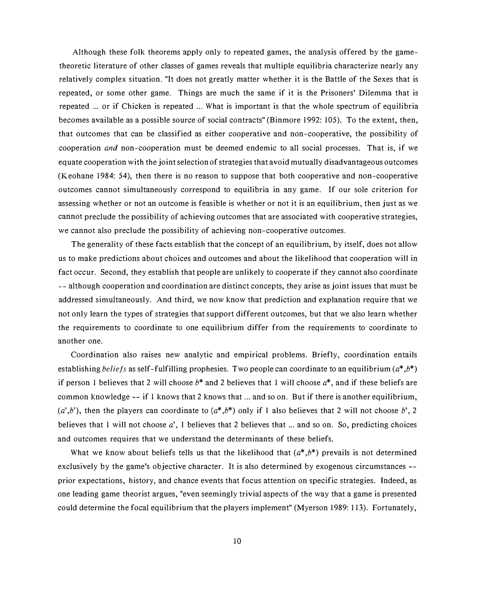Although these folk theorems apply only to repeated games, the analysis offered by the gametheoretic literature of other classes of games reveals that multiple equilibria characterize nearly any relatively complex situation. "It does not greatly matter whether it is the Battle of the Sexes that is repeated, or some other game. Things are much the same if it is the Prisoners' Dilemma that is repeated ... or if Chicken is repeated ... What is important is that the whole spectrum of equilibria becomes available as a possible source of social contracts" (Binmore 1992: 105). To the extent, then, that outcomes that can be classified as either cooperative and non-cooperative, the possibility of cooperation and non-cooperation must be deemed endemic to all social processes. That is, if we equate cooperation with the joint selection of strategies that avoid mutually disadvantageous outcomes (Keohane 1984: 54), then there is no reason to suppose that both cooperative and non-cooperative outcomes cannot simultaneously correspond to equilibria in any game. If our sole criterion for assessing whether or not an outcome is feasible is whether or not it is an equilibrium, then just as we cannot preclude the possibility of achieving outcomes that are associated with cooperative strategies, we cannot also preclude the possibility of achieving non-cooperative outcomes.

The generality of these facts establish that the concept of an equilibrium, by itself, does not allow us to make predictions about choices and outcomes and about the likelihood that cooperation will in fact occur. Second, they establish that people are unlikely to cooperate if they cannot also coordinate -- although cooperation and coordination are distinct concepts, they arise as joint issues that must be addressed simultaneously. And third, we now know that prediction and explanation require that we not only learn the types of strategies that support different outcomes, but that we also learn whether the requirements to coordinate to one equilibrium differ from the requirements to coordinate to another one.

Coordination also raises new analytic and empirical problems. Briefly, coordination entails establishing beliefs as self-fulfilling prophesies. Two people can coordinate to an equilibrium  $(a^*,b^*)$ if person 1 believes that 2 will choose  $b^*$  and 2 believes that 1 will choose  $a^*$ , and if these beliefs are common knowledge -- if 1 knows that 2 knows that ... and so on. But if there is another equilibrium,  $(a',b')$ , then the players can coordinate to  $(a^*,b^*)$  only if 1 also believes that 2 will not choose b', 2 believes that 1 will not choose  $a'$ , 1 believes that 2 believes that ... and so on. So, predicting choices and outcomes requires that we understand the determinants of these beliefs.

What we know about beliefs tells us that the likelihood that  $(a^*,b^*)$  prevails is not determined exclusively by the game's objective character. It is also determined by exogenous circumstances -prior expectations, history, and chance events that focus attention on specific strategies. Indeed, as one leading game theorist argues, "even seemingly trivial aspects of the way that a game is presented could determine the focal equilibrium that the players implement" (Myerson 1989: 113). Fortunately,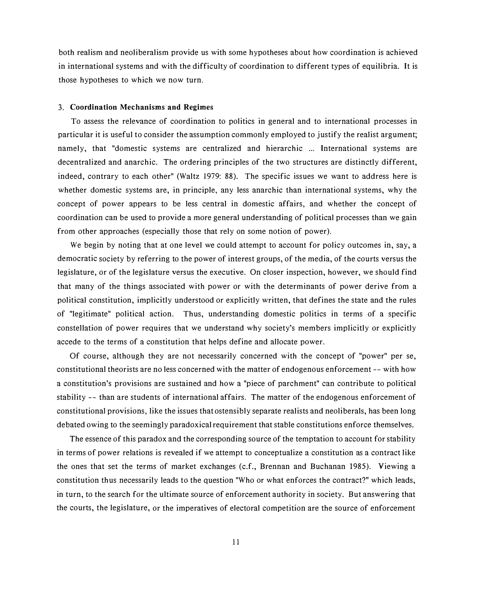both realism and neoliberalism provide us with some hypotheses about how coordination is achieved in international systems and with the difficulty of coordination to different types of equilibria. It is those hypotheses to which we now turn.

#### 3. Coordination Mechanisms and Regimes

To assess the relevance of coordination to politics in general and to international processes in particular it is useful to consider the assumption commonly employed to justify the realist argument; namely, that "domestic systems are centralized and hierarchic ... International systems are decentralized and anarchic. The ordering principles of the two structures are distinctly different, indeed, contrary to each other" (Waltz 1979: 88). The specific issues we want to address here is whether domestic systems are, in principle, any less anarchic than international systems, why the concept of power appears to be less central in domestic affairs, and whether the concept of coordination can be used to provide a more general understanding of political processes than we gain from other approaches (especially those that rely on some notion of power).

We begin by noting that at one level we could attempt to account for policy outcomes in, say, a democratic society by referring to the power of interest groups, of the media, of the courts versus the legislature, or of the legislature versus the executive. On closer inspection, however, we should find that many of the things associated with power or with the determinants of power derive from a political constitution, implicitly understood or explicitly written, that defines the state and the rules of "legitimate" political action. Thus, understanding domestic politics in terms of a specific constellation of power requires that we understand why society's members implicitly or explicitly accede to the terms of a constitution that helps define and allocate power.

Of course, although they are not necessarily concerned with the concept of "power" per se, constitutional theorists are no less concerned with the matter of endogenous enforcement -- with how a constitution's provisions are sustained and how a "piece of parchment" can contribute to political stability -- than are students of international affairs. The matter of the endogenous enforcement of constitutional provisions, like the issues that ostensibly separate realists and neoliberals, has been long debated owing to the seemingly paradoxical requirement that stable constitutions enforce themselves.

The essence of this paradox and the corresponding source of the temptation to account for stability in terms of power relations is revealed if we attempt to conceptualize a constitution as a contract like the ones that set the terms of market exchanges (c.f., Brennan and Buchanan 1985). Viewing a constitution thus necessarily leads to the question "Who or what enforces the contract?" which leads, in turn, to the search for the ultimate source of enforcement authority in society. But answering that the courts, the legislature, or the imperatives of electoral competition are the source of enforcement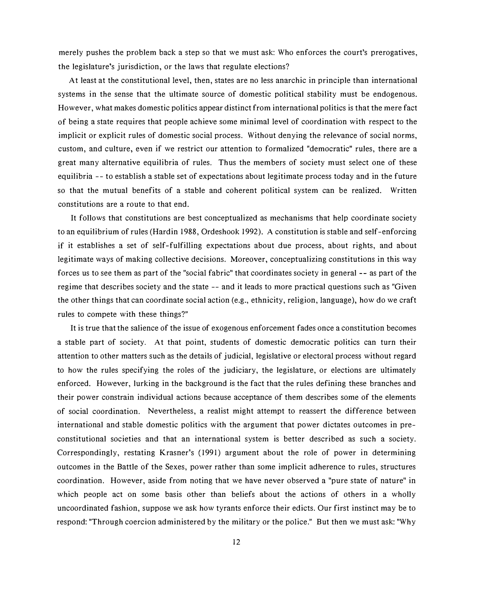merely pushes the problem back a step so that we must ask: Who enforces the court's prerogatives, the legislature's jurisdiction, or the laws that regulate elections?

At least at the constitutional level, then, states are no less anarchic in principle than international systems in the sense that the ultimate source of domestic political stability must be endogenous. However, what makes domestic politics appear distinct from international politics is that the mere fact of being a state requires that people achieve some minimal level of coordination with respect to the implicit or explicit rules of domestic social process. Without denying the relevance of social norms, custom, and culture, even if we restrict our attention to formalized "democratic" rules, there are a great many alternative equilibria of rules. Thus the members of society must select one of these equilibria -- to establish a stable set of expectations about legitimate process today and in the future so that the mutual benefits of a stable and coherent political system can be realized. Written constitutions are a route to that end.

It follows that constitutions are best conceptualized as mechanisms that help coordinate society to an equilibrium of rules (Hardin 1988, Ordeshook 1992). A constitution is stable and self -enforcing if it establishes a set of self-fulfilling expectations about due process, about rights, and about legitimate ways of making collective decisions. Moreover, conceptualizing constitutions in this way forces us to see them as part of the "social fabric" that coordinates society in general -- as part of the regime that describes society and the state -- and it leads to more practical questions such as "Given the other things that can coordinate social action (e.g., ethnicity, religion, language), how do we craft rules to compete with these things?"

It is true that the salience of the issue of exogenous enforcement fades once a constitution becomes a stable part of society. At that point, students of domestic democratic politics can turn their attention to other matters such as the details of judicial, legislative or electoral process without regard to how the rules specifying the roles of the judiciary, the legislature, or elections are ultimately enforced. However, lurking in the background is the fact that the rules defining these branches and their power constrain individual actions because acceptance of them describes some of the elements of social coordination. Nevertheless, a realist might attempt to reassert the difference between international and stable domestic politics with the argument that power dictates outcomes in preconstitutional societies and that an international system is better described as such a society. Correspondingly, restating Krasner's (1991) argument about the role of power in determining outcomes in the Battle of the Sexes, power rather than some implicit adherence to rules, structures coordination. However, aside from noting that we have never observed a "pure state of nature" in which people act on some basis other than beliefs about the actions of others in a wholly uncoordinated fashion, suppose we ask how tyrants enforce their edicts. Our first instinct may be to respond: "Through coercion administered by the military or the police." But then we must ask: "Why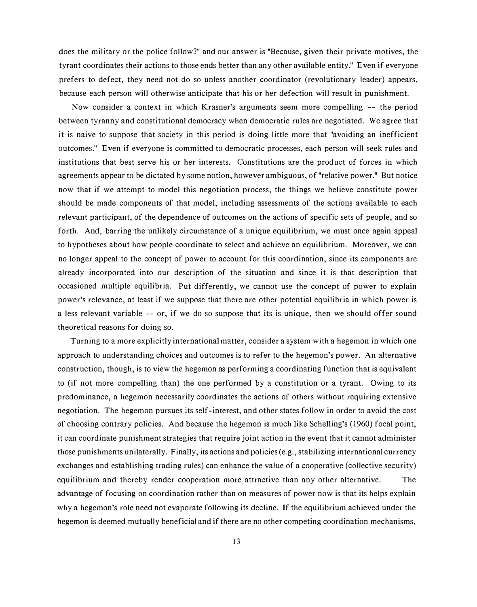does the military or the police follow?" and our answer is "Because, given their private motives, the tyrant coordinates their actions to those ends better than any other available entity." Even if everyone prefers to defect, they need not do so unless another coordinator (revolutionary leader) appears, because each person will otherwise anticipate that his or her defection will result in punishment.

Now consider a context in which Krasner's arguments seem more compelling -- the period between tyranny and constitutional democracy when democratic rules are negotiated. We agree that it is naive to suppose that society in this period is doing little more that "avoiding an inefficient outcomes." Even if everyone is committed to democratic processes, each person will seek rules and institutions that best serve his or her interests. Constitutions are the product of forces in which agreements appear to be dictated by some notion, however ambiguous, of "relative power." But notice now that if we attempt to model this negotiation process, the things we believe constitute power should be made components of that model, including assessments of the actions available to each relevant participant, of the dependence of outcomes on the actions of specific sets of people, and so forth. And, barring the unlikely circumstance of a unique equilibrium, we must once again appeal to hypotheses about how people coordinate to select and achieve an equilibrium. Moreover, we can no longer appeal to the concept of power to account for this coordination, since its components are already incorporated into our description of the situation and since it is that description that occasioned multiple equilibria. Put differently, we cannot use the concept of power to explain power's relevance, at least if we suppose that there are other potential equilibria in which power is a less relevant variable -- or, if we do so suppose that its is unique, then we should offer sound theoretical reasons for doing so.

Turning to a more explicitly international matter, consider a system with a hegemon in which one approach to understanding choices and outcomes is to refer to the hegemon's power. An alternative construction, though, is to view the hegemon as performing a coordinating function that is equivalent to (if not more compelling than) the one performed by a constitution or a tyrant. Owing to its predominance, a hegemon necessarily coordinates the actions of others without requiring extensive negotiation. The hegemon pursues its self-interest, and other states follow in order to avoid the cost of choosing contrary policies. And because the hegemon is much like Schelling's (1960) focal point, it can coordinate punishment strategies that require joint action in the event that it cannot administer those punishments unilaterally. Finally, its actions and policies (e.g., stabilizing international currency exchanges and establishing trading rules) can enhance the value of a cooperative (collective security) equilibrium and thereby render cooperation more attractive than any other alternative. The advantage of focusing on coordination rather than on measures of power now is that its helps explain why a hegemon's role need not evaporate following its decline. If the equilibrium achieved under the hegemon is deemed mutually beneficial and if there are no other competing coordination mechanisms,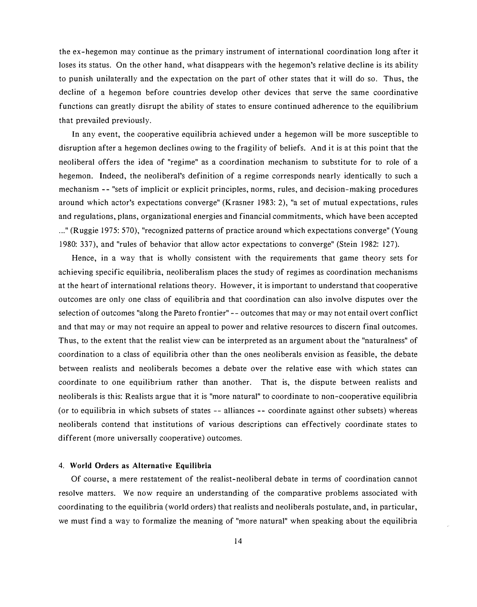the ex-hegemon may continue as the primary instrument of international coordination long after it loses its status. On the other hand, what disappears with the hegemon's relative decline is its ability to punish unilaterally and the expectation on the part of other states that it will do so. Thus, the decline of a hegemon before countries develop other devices that serve the same coordinative functions can greatly disrupt the ability of states to ensure continued adherence to the equilibrium that prevailed previously.

In any event, the cooperative equilibria achieved under a hegemon will be more susceptible to disruption after a hegemon declines owing to the fragility of beliefs. And it is at this point that the neoliberal offers the idea of "regime" as a coordination mechanism to substitute for to role of a hegemon. Indeed, the neoliberal's definition of a regime corresponds nearly identically to such a mechanism -- "sets of implicit or explicit principles, norms, rules, and decision-making procedures around which actor's expectations converge" (Krasner 1983: 2), "a set of mutual expectations, rules and regulations, plans, organizational energies and financial commitments, which have been accepted ... " (Ruggie 1975: 570), "recognized patterns of practice around which expectations converge" (Young 1980: 337), and "rules of behavior that allow actor expectations to converge" (Stein 1982: 127).

Hence, in a way that is wholly consistent with the requirements that game theory sets for achieving specific equilibria, neoliberalism places the study of regimes as coordination mechanisms at the heart of international relations theory. However, it is important to understand that cooperative outcomes are only one class of equilibria and that coordination can also involve disputes over the selection of outcomes "along the Pareto frontier" -- outcomes that may or may not entail overt conflict and that may or may not require an appeal to power and relative resources to discern final outcomes. Thus, to the extent that the realist view can be interpreted as an argument about the "naturalness" of coordination to a class of equilibria other than the ones neoliberals envision as feasible, the debate between realists and neoliberals becomes a debate over the relative ease with which states can coordinate to one equilibrium rather than another. That is, the dispute between realists and neoliberals is this: Realists argue that it is "more natural" to coordinate to non-cooperative equilibria (or to equilibria in which subsets of states -- alliances -- coordinate against other subsets) whereas neoliberals contend that institutions of various descriptions can effectively coordinate states to different (more universally cooperative) outcomes.

## 4. World Orders as Alternative Equilibria

Of course, a mere restatement of the realist-neoliberal debate in terms of coordination cannot resolve matters. We now require an understanding of the comparative problems associated with coordinating to the equilibria (world orders) that realists and neoliberals postulate, and, in particular, we must find a way to formalize the meaning of "more natural" when speaking about the equilibria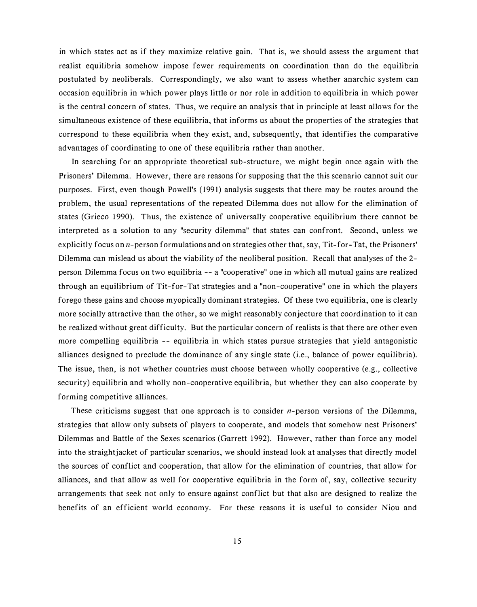in which states act as if they maximize relative gain. That is, we should assess the argument that realist equilibria somehow impose fewer requirements on coordination than do the equilibria postulated by neoliberals. Correspondingly, we also want to assess whether anarchic system can occasion equilibria in which power plays little or nor role in addition to equilibria in which power is the central concern of states. Thus, we require an analysis that in principle at least allows for the simultaneous existence of these equilibria, that informs us about the properties of the strategies that correspond to these equilibria when they exist, and, subsequently, that identifies the comparative advantages of coordinating to one of these equilibria rather than another.

In searching for an appropriate theoretical sub-structure, we might begin once again with the Prisoners' Dilemma. However, there are reasons for supposing that the this scenario cannot suit our purposes. First, even though Powell's ( 199 I) analysis suggests that there may be routes around the problem, the usual representations of the repeated Dilemma does not allow for the elimination of states (Grieco 1990). Thus, the existence of universally cooperative equilibrium there cannot be interpreted as a solution to any "security dilemma" that states can confront. Second, unless we explicitly focus on *n*-person formulations and on strategies other that, say, Tit-for-Tat, the Prisoners' Dilemma can mislead us about the viability of the neoliberal position. Recall that analyses of the 2 person Dilemma focus on two equilibria -- a "cooperative" one in which all mutual gains are realized through an equilibrium of Tit-for-Tat strategies and a "non-cooperative" one in which the players forego these gains and choose myopically dominant strategies. Of these two equilibria, one is clearly more socially attractive than the other, so we might reasonably conjecture that coordination to it can be realized without great difficulty. But the particular concern of realists is that there are other even more compelling equilibria -- equilibria in which states pursue strategies that yield antagonistic alliances designed to preclude the dominance of any single state (i.e., balance of power equilibria). The issue, then, is not whether countries must choose between wholly cooperative (e.g., collective security) equilibria and wholly non-cooperative equilibria, but whether they can also cooperate by forming competitive alliances.

These criticisms suggest that one approach is to consider  $n$ -person versions of the Dilemma, strategies that allow only subsets of players to cooperate, and models that somehow nest Prisoners' Dilemmas and Battle of the Sexes scenarios (Garrett 1992). However, rather than force any model into the straightjacket of particular scenarios, we should instead look at analyses that directly model the sources of conflict and cooperation, that allow for the elimination of countries, that allow for alliances, and that allow as well for cooperative equilibria in the form of, say, collective security arrangements that seek not only to ensure against conflict but that also are designed to realize the benefits of an efficient world economy. For these reasons it is useful to consider Niou and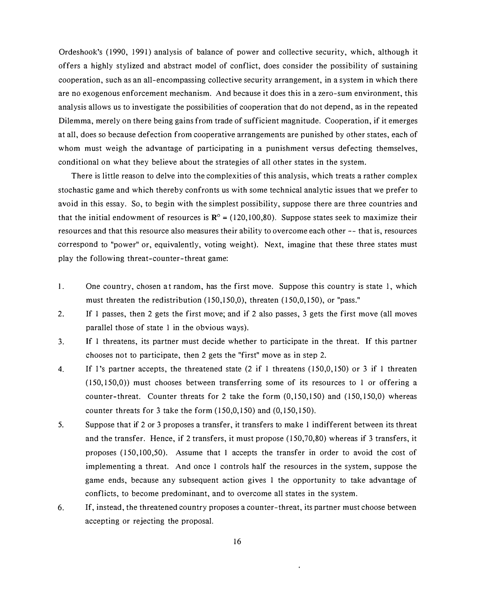Ordeshook's (1990, 1991) analysis of balance of power and collective security, which, although it offers a highly stylized and abstract model of conflict, does consider the possibility of sustaining cooperation, such as an all-encompassing collective security arrangement, in a system in which there are no exogenous enforcement mechanism. And because it does this in a zero-sum environment, this analysis allows us to investigate the possibilities of cooperation that do not depend, as in the repeated Dilemma, merely on there being gains from trade of sufficient magnitude. Cooperation, if it emerges at all, does so because defection from cooperative arrangements are punished by other states, each of whom must weigh the advantage of participating in a punishment versus defecting themselves, conditional on what they believe about the strategies of all other states in the system.

There is little reason to delve into the complexities of this analysis, which treats a rather complex stochastic game and which thereby confronts us with some technical analytic issues that we prefer to avoid in this essay. So, to begin with the simplest possibility, suppose there are three countries and that the initial endowment of resources is  $\mathbb{R}^{\circ} = (120,100,80)$ . Suppose states seek to maximize their resources and that this resource also measures their ability to overcome each other -- that is, resources correspond to "power" or, equivalently, voting weight). Next, imagine that these three states must play the following threat-counter-threat game:

- I. One country, chosen at random, has the first move. Suppose this country is state 1, which must threaten the redistribution (150,150,0), threaten (150,0,150), or "pass."
- 2. If 1 passes, then 2 gets the first move; and if 2 also passes, 3 gets the first move (all moves parallel those of state 1 in the obvious ways).
- 3. If 1 threatens, its partner must decide whether to participate in the threat. If this partner chooses not to participate, then 2 gets the "first" move as in step 2.
- 4. If 1's partner accepts, the threatened state (2 if 1 threatens (150,0,150) or 3 if 1 threaten (150, 150,0)) must chooses between transferring some of its resources to 1 or offering a counter-threat. Counter threats for 2 take the form  $(0,150,150)$  and  $(150,150,0)$  whereas counter threats for 3 take the form (150,0,150) and (0,150,150).
- 5. Suppose that if 2 or 3 proposes a transfer, it transfers to make 1 indifferent between its threat and the transfer. Hence, if 2 transfers, it must propose (150,70,80) whereas if 3 transfers, it proposes (150,100,50). Assume that I accepts the transfer in order to avoid the cost of implementing a threat. And once 1 controls half the resources in the system, suppose the game ends, because any subsequent action gives 1 the opportunity to take advantage of conflicts, to become predominant, and to overcome all states in the system.
- 6. If, instead, the threatened country proposes a counter-threat, its partner must choose between accepting or rejecting the proposal.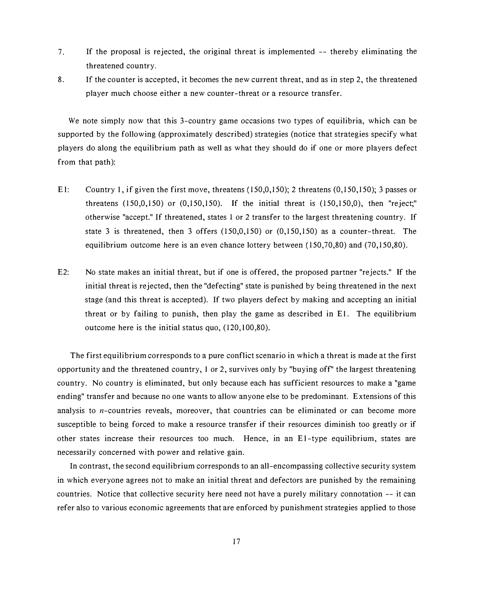- 7. If the proposal is rejected, the original threat is implemented -- thereby eliminating the threatened country.
- 8. If the counter is accepted, it becomes the new current threat, and as in step 2, the threatened player much choose either a new counter-threat or a resource transfer.

We note simply now that this 3-country game occasions two types of equilibria, which can be supported by the following (approximately described) strategies (notice that strategies specify what players do along the equilibrium path as well as what they should do if one or more players defect from that path):

- El: Country I, if given the first move, threatens (150,0,150); 2 threatens (0,150,150); 3 passes or threatens  $(150,0,150)$  or  $(0,150,150)$ . If the initial threat is  $(150,150,0)$ , then "reject;" otherwise "accept." If threatened, states 1 or 2 transfer to the largest threatening country. If state 3 is threatened, then 3 offers (150,0,150) or (0,150,150) as a counter-threat. The equilibrium outcome here is an even chance lottery between (150,70,80) and (70,150,80).
- E2: No state makes an initial threat, but if one is offered, the proposed partner "rejects." If the initial threat is rejected, then the "defecting" state is punished by being threatened in the next stage (and this threat is accepted). If two players defect by making and accepting an initial threat or by failing to punish, then play the game as described in EI. The equilibrium outcome here is the initial status quo,  $(120, 100, 80)$ .

The first equilibrium corresponds to a pure conflict scenario in which a threat is made at the first opportunity and the threatened country, I or 2, survives only by "buying off" the largest threatening country. No country is eliminated, but only because each has sufficient resources to make a "game ending" transfer and because no one wants to allow anyone else to be predominant. Extensions of this analysis to  $n$ -countries reveals, moreover, that countries can be eliminated or can become more susceptible to being forced to make a resource transfer if their resources diminish too greatly or if other states increase their resources too much. Hence, in an El -type equilibrium, states are necessarily concerned with power and relative gain.

In contrast, the second equilibrium corresponds to an all-encompassing collective security system in which everyone agrees not to make an initial threat and defectors are punished by the remaining countries. Notice that collective security here need not have a purely military connotation -- it can refer also to various economic agreements that are enforced by punishment strategies applied to those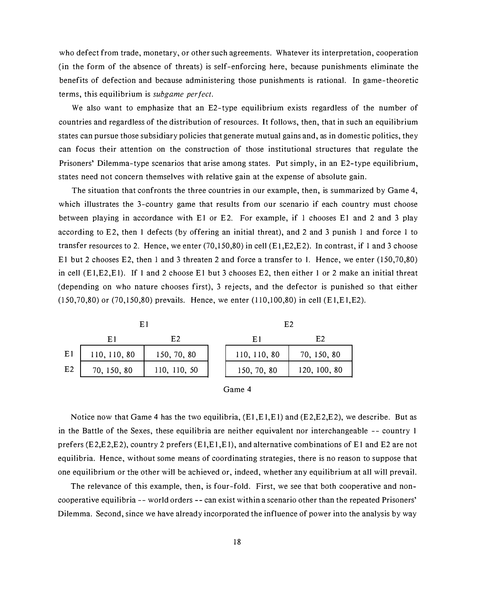who defect from trade, monetary, or other such agreements. Whatever its interpretation, cooperation (in the form of the absence of threats) is self-enforcing here, because punishments eliminate the benefits of defection and because administering those punishments is rational. In game-theoretic terms, this equilibrium is subgame perfect.

We also want to emphasize that an E2-type equilibrium exists regardless of the number of countries and regardless of the distribution of resources. It follows, then, that in such an equilibrium states can pursue those subsidiary policies that generate mutual gains and, as in domestic politics, they can focus their attention on the construction of those institutional structures that regulate the Prisoners' Dilemma-type scenarios that arise among states. Put simply, in an E2-type equilibrium, states need not concern themselves with relative gain at the expense of absolute gain.

The situation that confronts the three countries in our example, then, is summarized by Game 4, which illustrates the 3-country game that results from our scenario if each country must choose between playing in accordance with El or E2. For example, if 1 chooses El and 2 and 3 play according to E2, then I defects (by offering an initial threat), and 2 and 3 punish 1 and force 1 to transfer resources to 2. Hence, we enter  $(70,150,80)$  in cell  $(E1,E2,E2)$ . In contrast, if 1 and 3 choose El but 2 chooses E2, then 1 and 3 threaten 2 and force a transfer to I. Hence, we enter (150,70,80) in cell (El,E2,El). If I and 2 choose El but 3 chooses E2, then either I or 2 make an initial threat (depending on who nature chooses first), 3 rejects, and the defector is punished so that either (150,70,80) or (70,150,80) prevails. Hence, we enter (110,100,80) in cell (El,El,E2).

|    | E            |                |  | E2           |              |  |
|----|--------------|----------------|--|--------------|--------------|--|
|    | E1           | E <sub>2</sub> |  | Εl           | E2           |  |
| E1 | 110, 110, 80 | 150, 70, 80    |  | 110, 110, 80 | 70, 150, 80  |  |
| E2 | 70, 150, 80  | 110, 110, 50   |  | 150, 70, 80  | 120, 100, 80 |  |
|    |              |                |  |              |              |  |

| m<br>٠.<br>., |  |
|---------------|--|
|---------------|--|

Notice now that Game 4 has the two equilibria,  $(E1, E1, E1)$  and  $(E2, E2, E2)$ , we describe. But as in the Battle of the Sexes, these equilibria are neither equivalent nor interchangeable -- country I prefers (E2,E2,E2), country 2 prefers (El,El ,El), and alternative combinations of El and E2 are not equilibria. Hence, without some means of coordinating strategies, there is no reason to suppose that one equilibrium or the other will be achieved or, indeed, whether any equilibrium at all will prevail.

The relevance of this example, then, is four-fold. First, we see that both cooperative and noncooperative equilibria -- world orders -- can exist within a scenario other than the repeated Prisoners' Dilemma. Second, since we have already incorporated the influence of power into the analysis by way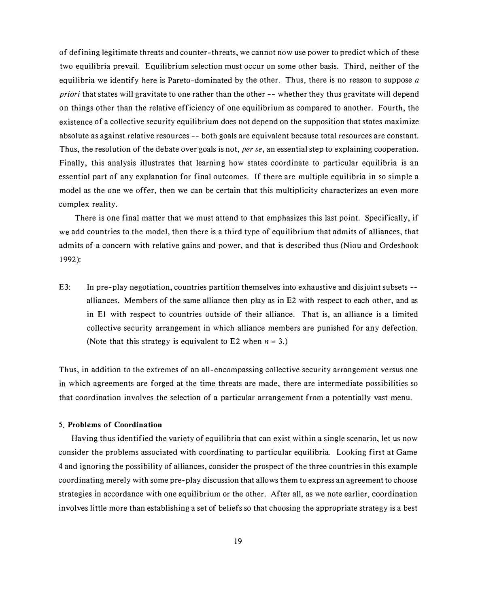of defining legitimate threats and counter-threats, we cannot now use power to predict which of these two equilibria prevail. Equilibrium selection must occur on some other basis. Third, neither of the equilibria we identify here is Pareto-dominated by the other. Thus, there is no reason to suppose  $a$ priori that states will gravitate to one rather than the other -- whether they thus gravitate will depend on things other than the relative efficiency of one equilibrium as compared to another. Fourth, the existence of a collective security equilibrium does not depend on the supposition that states maximize absolute as against relative resources -- both goals are equivalent because total resources are constant. Thus, the resolution of the debate over goals is not, *per se*, an essential step to explaining cooperation. Finally, this analysis illustrates that learning how states coordinate to particular equilibria is an essential part of any explanation for final outcomes. If there are multiple equilibria in so simple a model as the one we offer, then we can be certain that this multiplicity characterizes an even more complex reality.

There is one final matter that we must attend to that emphasizes this last point. Specifically, if we add countries to the model, then there is a third type of equilibrium that admits of alliances, that admits of a concern with relative gains and power, and that is described thus (Niou and Ordeshook 1992):

E3: In pre-play negotiation, countries partition themselves into exhaustive and disjoint subsets alliances. Members of the same alliance then play as in E2 with respect to each other, and as in El with respect to countries outside of their alliance. That is, an alliance is a limited collective security arrangement in which alliance members are punished for any defection. (Note that this strategy is equivalent to E2 when  $n = 3$ .)

Thus, in addition to the extremes of an all-encompassing collective security arrangement versus one in which agreements are forged at the time threats are made, there are intermediate possibilities so that coordination involves the selection of a particular arrangement from a potentially vast menu.

### 5. Problems of Coordination

Having thus identified the variety of equilibria that can exist within a single scenario, let us now consider the problems associated with coordinating to particular equilibria. Looking first at Game 4 and ignoring the possibility of alliances, consider the prospect of the three countries in this example coordinating merely with some pre-play discussion that allows them to express an agreement to choose strategies in accordance with one equilibrium or the other. After all, as we note earlier, coordination involves little more than establishing a set of beliefs so that choosing the appropriate strategy is a best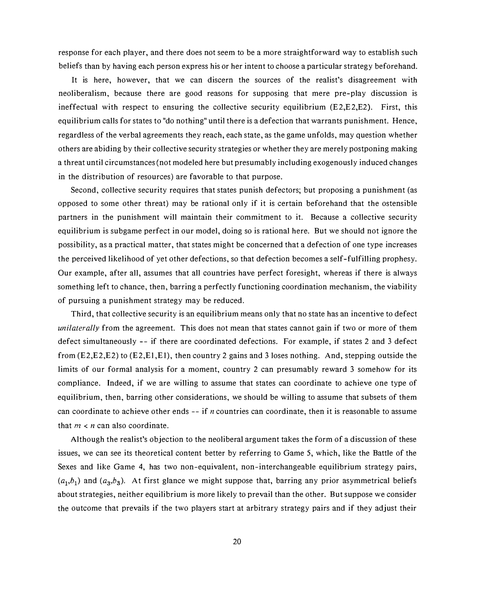response for each player, and there does not seem to be a more straightforward way to establish such beliefs than by having each person express his or her intent to choose a particular strategy beforehand.

It is here, however, that we can discern the sources of the realist's disagreement with neoliberalism, because there are good reasons for supposing that mere pre-play discussion is ineffectual with respect to ensuring the collective security equilibrium (E2,E2,E2). First, this equilibrium calls for states to "do nothing" until there is a defection that warrants punishment. Hence, regardless of the verbal agreements they reach, each state, as the game unfolds, may question whether others are abiding by their collective security strategies or whether they are merely postponing making a threat until circumstances (not modeled here but presumably including exogenously induced changes in the distribution of resources) are favorable to that purpose.

Second, collective security requires that states punish defectors; but proposing a punishment (as opposed to some other threat) may be rational only if it is certain beforehand that the ostensible partners in the punishment will maintain their commitment to it. Because a collective security equilibrium is subgame perfect in our model, doing so is rational here. But we should not ignore the possibility, as a practical matter, that states might be concerned that a defection of one type increases the perceived likelihood of yet other defections, so that defection becomes a self-fulfilling prophesy. Our example, after all, assumes that all countries have perfect foresight, whereas if there is always something left to chance, then, barring a perfectly functioning coordination mechanism, the viability of pursuing a punishment strategy may be reduced.

Third, that collective security is an equilibrium means only that no state has an incentive to defect unilaterally from the agreement. This does not mean that states cannot gain if two or more of them defect simultaneously -- if there are coordinated defections. For example, if states 2 and 3 defect from (E2,E2,E2) to (E2,El,El), then country 2 gains and 3 loses nothing. And, stepping outside the limits of our formal analysis for a moment, country 2 can presumably reward 3 somehow for its compliance. Indeed, if we are willing to assume that states can coordinate to achieve one type of equilibrium, then, barring other considerations, we should be willing to assume that subsets of them can coordinate to achieve other ends  $-$ - if *n* countries can coordinate, then it is reasonable to assume that  $m \lt n$  can also coordinate.

Although the realist's objection to the neoliberal argument takes the form of a discussion of these issues, we can see its theoretical content better by referring to Game 5, which, like the Battle of the Sexes and like Game 4, has two non-equivalent, non-interchangeable equilibrium strategy pairs,  $(a_1,b_1)$  and  $(a_3,b_3)$ . At first glance we might suppose that, barring any prior asymmetrical beliefs about strategies, neither equilibrium is more likely to prevail than the other. But suppose we consider the outcome that prevails if the two players start at arbitrary strategy pairs and if they adjust their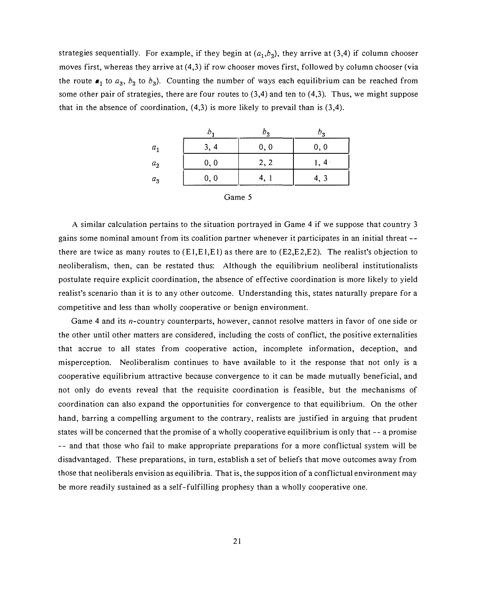strategies sequentially. For example, if they begin at  $(a_1,b_2)$ , they arrive at (3,4) if column chooser moves first, whereas they arrive at (4,3) if row chooser moves first, followed by column chooser (via the route  $a_1$  to  $a_3$ ,  $b_2$  to  $b_3$ ). Counting the number of ways each equilibrium can be reached from some other pair of strategies, there are four routes to  $(3,4)$  and ten to  $(4,3)$ . Thus, we might suppose that in the absence of coordination, (4,3) is more likely to prevail than is (3,4).

|         |      | о,   | b,   |
|---------|------|------|------|
| $a_1$   | 3, 4 | 0, 0 | 0, 0 |
| $a_{2}$ | 0, 0 | 2, 2 | 1, 4 |
| $a_3$   | 0, 0 | 4, 1 | 4, 3 |
|         |      |      |      |

| - 2<br>۰. |  |
|-----------|--|
|           |  |

A similar calculation pertains to the situation portrayed in Game 4 if we suppose that country 3 gains some nominal amount from its coalition partner whenever it participates in an initial threat -there are twice as many routes to  $(E1, E1, E1)$  as there are to  $(E2, E2, E2)$ . The realist's objection to neoliberalism, then, can be restated thus: Although the equilibrium neoliberal institutionalists postulate require explicit coordination, the absence of effective coordination is more likely to yield realist's scenario than it is to any other outcome. Understanding this, states naturally prepare for a competitive and less than wholly cooperative or benign environment.

Game 4 and its *n*-country counterparts, however, cannot resolve matters in favor of one side or the other until other matters are considered, including the costs of conflict, the positive externalities that accrue to all states from cooperative action, incomplete information, deception, and misperception. Neoliberalism continues to have available to it the response that not only is a cooperative equilibrium attractive because convergence to it can be made mutually beneficial, and not only do events reveal that the requisite coordination is feasible, but the mechanisms of coordination can also expand the opportunities for convergence to that equilibrium. On the other hand, barring a compelling argument to the contrary, realists are justified in arguing that prudent states will be concerned that the promise of a wholly cooperative equilibrium is only that -- a promise -- and that those who fail to make appropriate preparations for a more conflictual system will be disadvantaged. These preparations, in turn, establish a set of beliefs that move outcomes away from those that neoliberals envision as equilibria. That is, the supposition of a conflictual environment may be more readily sustained as a self-fulfilling prophesy than a wholly cooperative one.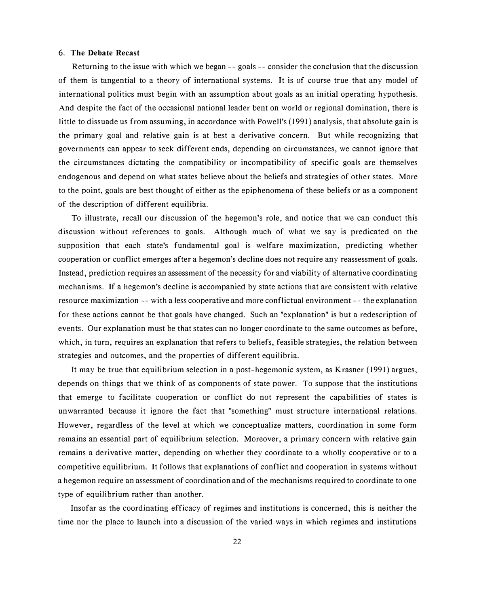#### 6. The Debate Recast

Returning to the issue with which we began -- goals -- consider the conclusion that the discussion of them is tangential to a theory of international systems. It is of course true that any model of international politics must begin with an assumption about goals as an initial operating hypothesis. And despite the fact of the occasional national leader bent on world or regional domination, there is little to dissuade us from assuming, in accordance with Powell's (1991) analysis, that absolute gain is the primary goal and relative gain is at best a derivative concern. But while recognizing that governments can appear to seek different ends, depending on circumstances, we cannot ignore that the circumstances dictating the compatibility or incompatibility of specific goals are themselves endogenous and depend on what states believe about the beliefs and strategies of other states. More to the point, goals are best thought of either as the epiphenomena of these beliefs or as a component of the description of different equilibria.

To illustrate, recall our discussion of the hegemon's role, and notice that we can conduct this discussion without references to goals. Although much of what we say is predicated on the supposition that each state's fundamental goal is welfare maximization, predicting whether cooperation or conflict emerges after a hegemon's decline does not require any reassessment of goals. Instead, prediction requires an assessment of the necessity for and viability of alternative coordinating mechanisms. If a hegemon's decline is accompanied by state actions that are consistent with relative resource maximization -- with a less cooperative and more conflictual environment -- the explanation for these actions cannot be that goals have changed. Such an "explanation" is but a redescription of events. Our explanation must be that states can no longer coordinate to the same outcomes as before, which, in turn, requires an explanation that refers to beliefs, feasible strategies, the relation between strategies and outcomes, and the properties of different equilibria.

It may be true that equilibrium selection in a post-hegemonic system, as Krasner (1991) argues, depends on things that we think of as components of state power. To suppose that the institutions that emerge to facilitate cooperation or conflict do not represent the capabilities of states is unwarranted because it ignore the fact that "something" must structure international relations. However, regardless of the level at which we conceptualize matters, coordination in some form remains an essential part of equilibrium selection. Moreover, a primary concern with relative gain remains a derivative matter, depending on whether they coordinate to a wholly cooperative or to a competitive equilibrium. It follows that explanations of conflict and cooperation in systems without a hegemon require an assessment of coordination and of the mechanisms required to coordinate to one type of equilibrium rather than another.

Insofar as the coordinating efficacy of regimes and institutions is concerned, this is neither the time nor the place to launch into a discussion of the varied ways in which regimes and institutions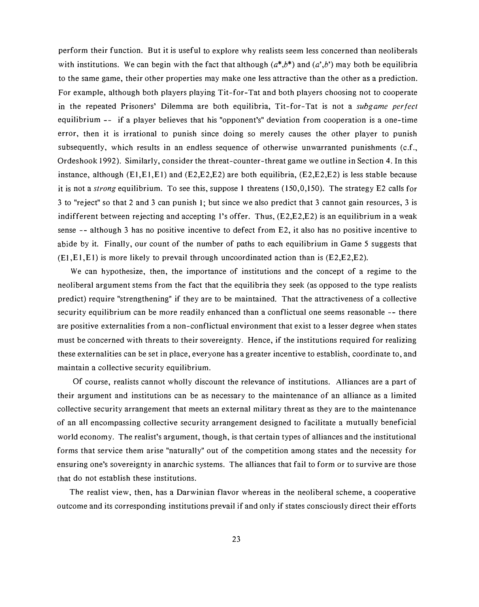perform their function. But it is useful to explore why realists seem less concerned than neoliberals with institutions. We can begin with the fact that although  $(a^*,b^*)$  and  $(a',b')$  may both be equilibria to the same game, their other properties may make one less attractive than the other as a prediction. For example, although both players playing Tit-for-Tat and both players choosing not to cooperate in the repeated Prisoners' Dilemma are both equilibria, Tit-for-Tat is not a *subgame perfect* equilibrium -- if a player believes that his "opponent's" deviation from cooperation is a one-time error, then it is irrational to punish since doing so merely causes the other player to punish subsequently, which results in an endless sequence of otherwise unwarranted punishments (c.f., Ordeshook 1992). Similarly, consider the threat-counter-threat game we outline in Section 4. In this instance, although  $(E1, E1, E1)$  and  $(E2, E2, E2)$  are both equilibria,  $(E2, E2, E2)$  is less stable because it is not a strong equilibrium. To see this, suppose 1 threatens (150,0,150). The strategy E2 calls for 3 to "reject" so that 2 and 3 can punish 1; but since we also predict that 3 cannot gain resources, 3 is indifferent between rejecting and accepting l's offer. Thus, (E2,E2,E2) is an equilibrium in a weak sense -- although 3 has no positive incentive to defect from E2, it also has no positive incentive to abide by it. Finally, our count of the number of paths to each equilibrium in Game 5 suggests that  $(E1, E1, E1)$  is more likely to prevail through uncoordinated action than is  $(E2, E2, E2)$ .

We can hypothesize, then, the importance of institutions and the concept of a regime to the neoliberal argument stems from the fact that the equilibria they seek (as opposed to the type realists predict) require "strengthening" if they are to be maintained. That the attractiveness of a collective security equilibrium can be more readily enhanced than a conflictual one seems reasonable -- there are positive externalities from a non-conflictual environment that exist to a lesser degree when states must be concerned with threats to their sovereignty. Hence, if the institutions required for realizing these externalities can be set in place, everyone has a greater incentive to establish, coordinate to, and maintain a collective security equilibrium.

Of course, realists cannot wholly discount the relevance of institutions. Alliances are a part of their argument and institutions can be as necessary to the maintenance of an alliance as a limited collective security arrangement that meets an external military threat as they are to the maintenance of an all encompassing collective security arrangement designed to facilitate a mutually beneficial world economy. The realist's argument, though, is that certain types of alliances and the institutional forms that service them arise "naturally" out of the competition among states and the necessity for ensuring one's sovereignty in anarchic systems. The alliances that fail to form or to survive are those that do not establish these institutions.

The realist view, then, has a Darwinian flavor whereas in the neoliberal scheme, a cooperative outcome and its corresponding institutions prevail if and only if states consciously direct their efforts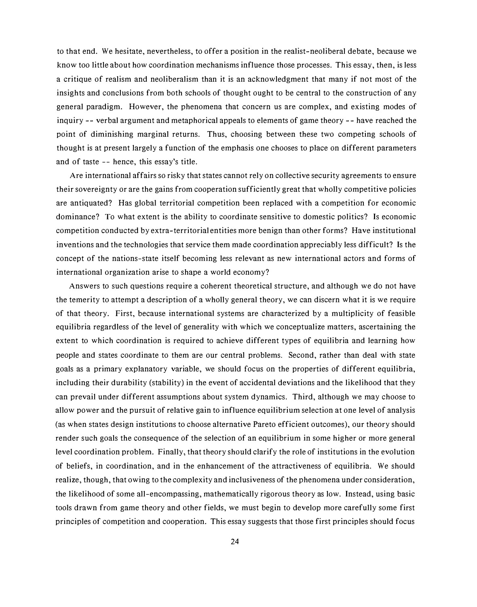to that end. We hesitate, nevertheless, to offer a position in the realist-neoliberal debate, because we know too little about how coordination mechanisms influence those processes. This essay, then, is less a critique of realism and neoliberalism than it is an acknowledgment that many if not most of the insights and conclusions from both schools of thought ought to be central to the construction of any general paradigm. However, the phenomena that concern us are complex, and existing modes of inquiry -- verbal argument and metaphorical appeals to elements of game theory -- have reached the point of diminishing marginal returns. Thus, choosing between these two competing schools of thought is at present largely a function of the emphasis one chooses to place on different parameters and of taste -- hence, this essay's title.

Are international affairs so risky that states cannot rely on collective security agreements to ensure their sovereignty or are the gains from cooperation sufficiently great that wholly competitive policies are antiquated? Has global territorial competition been replaced with a competition for economic dominance? To what extent is the ability to coordinate sensitive to domestic politics? Is economic competition conducted by extra-territorial entities more benign than other forms? Have institutional inventions and the technologies that service them made coordination appreciably less difficult? Is the concept of the nations-state itself becoming less relevant as new international actors and forms of international organization arise to shape a world economy?

Answers to such questions require a coherent theoretical structure, and although we do not have the temerity to attempt a description of a wholly general theory, we can discern what it is we require of that theory. First, because international systems are characterized by a multiplicity of feasible equilibria regardless of the level of generality with which we conceptualize matters, ascertaining the extent to which coordination is required to achieve different types of equilibria and learning how people and states coordinate to them are our central problems. Second, rather than deal with state goals as a primary explanatory variable, we should focus on the properties of different equilibria, including their durability (stability) in the event of accidental deviations and the likelihood that they can prevail under different assumptions about system dynamics. Third, although we may choose to allow power and the pursuit of relative gain to influence equilibrium selection at one level of analysis (as when states design institutions to choose alternative Pareto efficient outcomes), our theory should render such goals the consequence of the selection of an equilibrium in some higher or more general level coordination problem. Finally, that theory should clarify the role of institutions in the evolution of beliefs, in coordination, and in the enhancement of the attractiveness of equilibria. We should realize, though, that owing to the complexity and inclusiveness of the phenomena under consideration, the likelihood of some all-encompassing, mathematically rigorous theory as low. Instead, using basic tools drawn from game theory and other fields, we must begin to develop more carefully some first principles of competition and cooperation. This essay suggests that those first principles should focus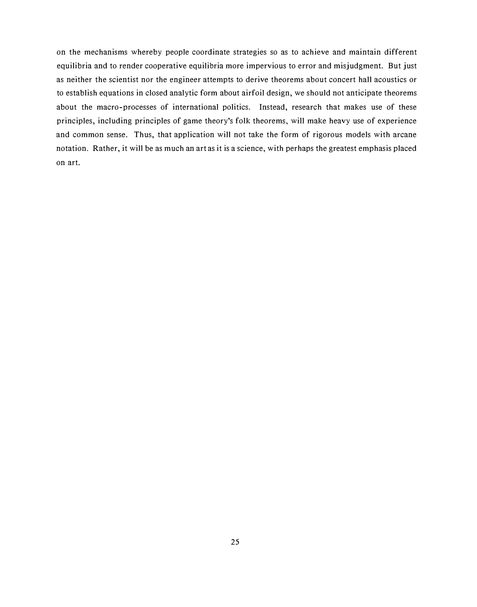on the mechanisms whereby people coordinate strategies so as to achieve and maintain different equilibria and to render cooperative equilibria more impervious to error and misjudgment. But just as neither the scientist nor the engineer attempts to derive theorems about concert hall acoustics or to establish equations in closed analytic form about airfoil design, we should not anticipate theorems about the macro-processes of international politics. Instead, research that makes use of these principles, including principles of game theory's folk theorems, will make heavy use of experience and common sense. Thus, that application will not take the form of rigorous models with arcane notation. Rather, it will be as much an art as it is a science, with perhaps the greatest emphasis placed on art.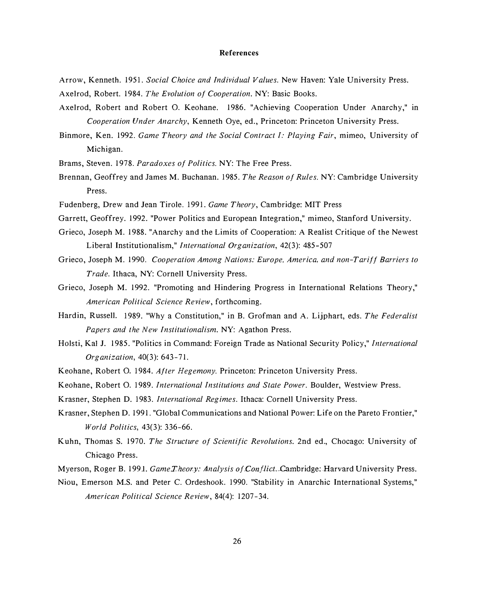#### References

- Arrow, Kenneth. 1951. Social Choice and Individual Values. New Haven: Yale University Press.
- Axelrod, Robert. 1984. The Evolution of Cooperation. NY: Basic Books.
- Axelrod, Robert and Robert 0. Keohane. 1986. "Achieving Cooperation Under Anarchy," in Cooperation Under Anarchy, Kenneth Oye, ed., Princeton: Princeton University Press.
- Binmore, Ken. 1992. Game Theory and the Social Contract I: Playing Fair, mimeo, University of Michigan.
- Brams, Steven. 1978. Paradoxes of Politics. NY: The Free Press.
- Brennan, Geoffrey and James M. Buchanan. 1985. The Reason of Rules. NY: Cambridge University Press.
- Fudenberg, Drew and Jean Tirole. 1991. Game Theory, Cambridge: MIT Press
- Garrett, Geoffrey. 1992. "Power Politics and European Integration," mimeo, Stanford University.
- Grieco, Joseph M. 1988. "Anarchy and the Limits of Cooperation: A Realist Critique of the Newest Liberal Institutionalism," International Organization, 42(3): 485-507
- Grieco, Joseph M. 1990. Cooperation Among Nations: Europe, America, and non-Tariff Barriers to Trade. Ithaca, NY: Cornell University Press.
- Grieco, Joseph M. 1992. "Promoting and Hindering Progress in International Relations Theory," American Political Science Review, forthcoming.
- Hardin, Russell. 1989. "Why a Constitution," in B. Grofman and A. Lijphart, eds. The Federalist Papers and the New Institutionalism. NY: Agathon Press.
- Holsti, Kai J. 1985. "Politics in Command: Foreign Trade as National Security Policy," International Organization, 40(3): 643-71.
- Keohane, Robert 0. 1984. After Hegemony. Princeton: Princeton University Press.
- Keohane, Robert 0. 1989. International Institutions and State Power. Boulder, Westview Press.
- Krasner, Stephen D. 1983. International Regimes. Ithaca: Cornell University Press.
- Krasner, Stephen D. 1991. "Global Communications and National Power: Life on the Pareto Frontier," World Politics, 43(3): 336-66.
- Kuhn, Thomas S. 1970. The Structure of Scientific Revolutions. 2nd ed., Chocago: University of Chicago Press.
- Myerson, Roger B. 1991. Game Theory: Analysis of Conflict. Cambridge: Harvard University Press.
- Niou, Emerson M.S. and Peter C. Ordeshook. 1990. "Stability in Anarchic International Systems," American Political Science Review, 84(4): 1207-34.